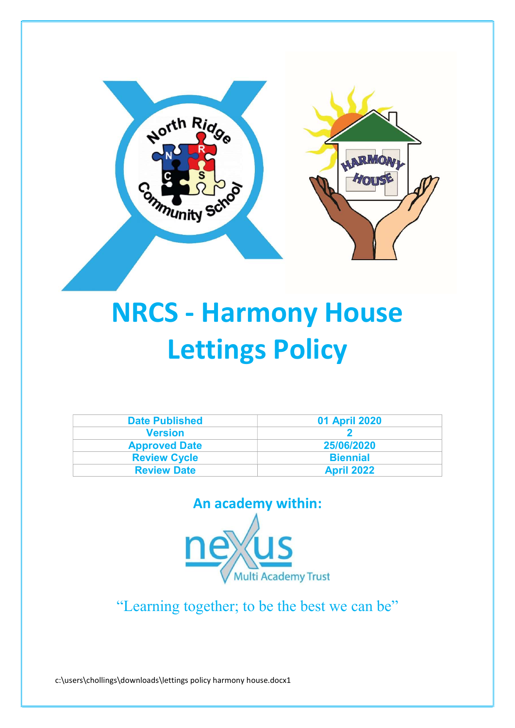

# NRCS - Harmony House Lettings Policy

| <b>Date Published</b> | 01 April 2020     |
|-----------------------|-------------------|
| <b>Version</b>        |                   |
| <b>Approved Date</b>  | 25/06/2020        |
| <b>Review Cycle</b>   | <b>Biennial</b>   |
| <b>Review Date</b>    | <b>April 2022</b> |



"Learning together; to be the best we can be"

c:\users\chollings\downloads\lettings policy harmony house.docx1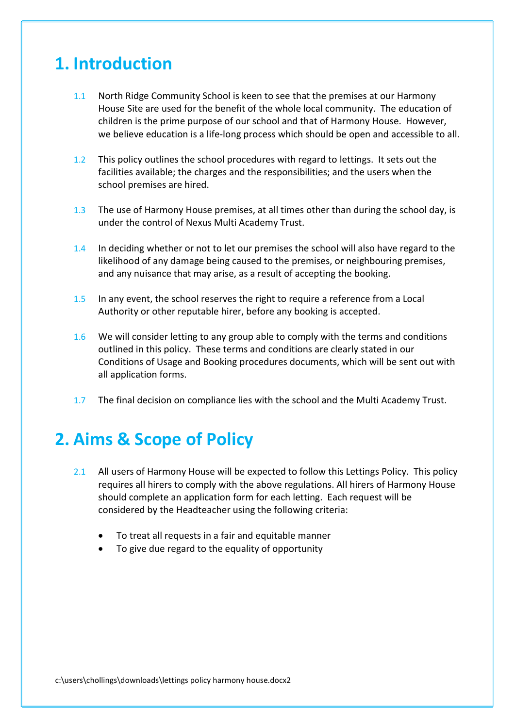### 1. Introduction

- 1.1 North Ridge Community School is keen to see that the premises at our Harmony House Site are used for the benefit of the whole local community. The education of children is the prime purpose of our school and that of Harmony House. However, we believe education is a life-long process which should be open and accessible to all.
- 1.2 This policy outlines the school procedures with regard to lettings. It sets out the facilities available; the charges and the responsibilities; and the users when the school premises are hired.
- 1.3 The use of Harmony House premises, at all times other than during the school day, is under the control of Nexus Multi Academy Trust.
- 1.4 In deciding whether or not to let our premises the school will also have regard to the likelihood of any damage being caused to the premises, or neighbouring premises, and any nuisance that may arise, as a result of accepting the booking.
- 1.5 In any event, the school reserves the right to require a reference from a Local Authority or other reputable hirer, before any booking is accepted.
- 1.6 We will consider letting to any group able to comply with the terms and conditions outlined in this policy. These terms and conditions are clearly stated in our Conditions of Usage and Booking procedures documents, which will be sent out with all application forms.
- 1.7 The final decision on compliance lies with the school and the Multi Academy Trust.

### 2. Aims & Scope of Policy

- 2.1 All users of Harmony House will be expected to follow this Lettings Policy. This policy requires all hirers to comply with the above regulations. All hirers of Harmony House should complete an application form for each letting. Each request will be considered by the Headteacher using the following criteria:
	- To treat all requests in a fair and equitable manner
	- To give due regard to the equality of opportunity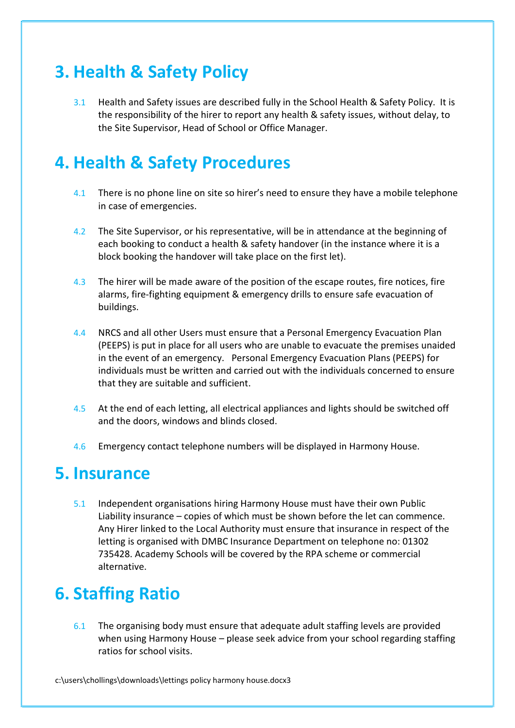# 3. Health & Safety Policy

3.1 Health and Safety issues are described fully in the School Health & Safety Policy. It is the responsibility of the hirer to report any health & safety issues, without delay, to the Site Supervisor, Head of School or Office Manager.

# 4. Health & Safety Procedures

- 4.1 There is no phone line on site so hirer's need to ensure they have a mobile telephone in case of emergencies.
- 4.2 The Site Supervisor, or his representative, will be in attendance at the beginning of each booking to conduct a health & safety handover (in the instance where it is a block booking the handover will take place on the first let).
- 4.3 The hirer will be made aware of the position of the escape routes, fire notices, fire alarms, fire-fighting equipment & emergency drills to ensure safe evacuation of buildings.
- 4.4 NRCS and all other Users must ensure that a Personal Emergency Evacuation Plan (PEEPS) is put in place for all users who are unable to evacuate the premises unaided in the event of an emergency. Personal Emergency Evacuation Plans (PEEPS) for individuals must be written and carried out with the individuals concerned to ensure that they are suitable and sufficient.
- 4.5 At the end of each letting, all electrical appliances and lights should be switched off and the doors, windows and blinds closed.
- 4.6 Emergency contact telephone numbers will be displayed in Harmony House.

#### 5. Insurance

5.1 Independent organisations hiring Harmony House must have their own Public Liability insurance – copies of which must be shown before the let can commence. Any Hirer linked to the Local Authority must ensure that insurance in respect of the letting is organised with DMBC Insurance Department on telephone no: 01302 735428. Academy Schools will be covered by the RPA scheme or commercial alternative.

# 6. Staffing Ratio

6.1 The organising body must ensure that adequate adult staffing levels are provided when using Harmony House – please seek advice from your school regarding staffing ratios for school visits.

c:\users\chollings\downloads\lettings policy harmony house.docx3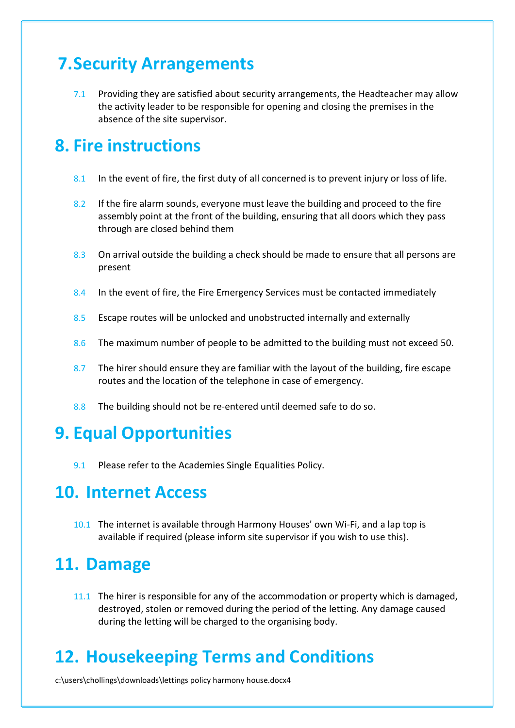# 7.Security Arrangements

7.1 Providing they are satisfied about security arrangements, the Headteacher may allow the activity leader to be responsible for opening and closing the premises in the absence of the site supervisor.

### 8. Fire instructions

- 8.1 In the event of fire, the first duty of all concerned is to prevent injury or loss of life.
- 8.2 If the fire alarm sounds, everyone must leave the building and proceed to the fire assembly point at the front of the building, ensuring that all doors which they pass through are closed behind them
- 8.3 On arrival outside the building a check should be made to ensure that all persons are present
- 8.4 In the event of fire, the Fire Emergency Services must be contacted immediately
- 8.5 Escape routes will be unlocked and unobstructed internally and externally
- 8.6 The maximum number of people to be admitted to the building must not exceed 50.
- 8.7 The hirer should ensure they are familiar with the layout of the building, fire escape routes and the location of the telephone in case of emergency.
- 8.8 The building should not be re-entered until deemed safe to do so.

## 9. Equal Opportunities

9.1 Please refer to the Academies Single Equalities Policy.

#### 10. Internet Access

10.1 The internet is available through Harmony Houses' own Wi-Fi, and a lap top is available if required (please inform site supervisor if you wish to use this).

### 11. Damage

11.1 The hirer is responsible for any of the accommodation or property which is damaged, destroyed, stolen or removed during the period of the letting. Any damage caused during the letting will be charged to the organising body.

# 12. Housekeeping Terms and Conditions

c:\users\chollings\downloads\lettings policy harmony house.docx4